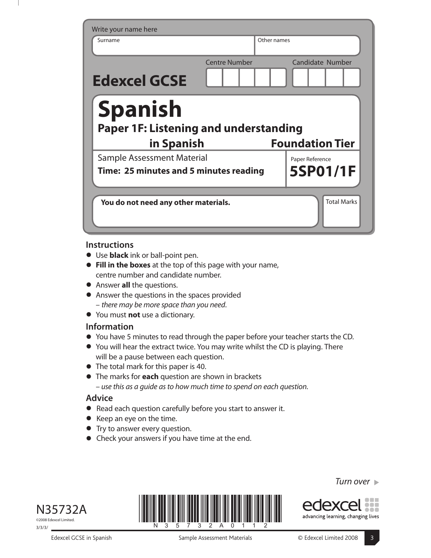| Write your name here                                                  |                      |                        |
|-----------------------------------------------------------------------|----------------------|------------------------|
| Surname                                                               |                      | Other names            |
| <b>Edexcel GCSE</b>                                                   | <b>Centre Number</b> | Candidate Number       |
| <b>Spanish</b><br>Paper 1F: Listening and understanding<br>in Spanish |                      | <b>Foundation Tier</b> |
| Sample Assessment Material                                            |                      | Paper Reference        |
| Time: 25 minutes and 5 minutes reading                                |                      | 5SP01/1F               |
|                                                                       |                      |                        |
| You do not need any other materials.                                  |                      | <b>Total Marks</b>     |

## **Instructions**

- **•** Use **black** ink or ball-point pen.
- **• Fill in the boxes** at the top of this page with your name, centre number and candidate number.
- **•** Answer **all** the questions.
- **•** Answer the questions in the spaces provided – there may be more space than you need.
- **•** You must **not** use a dictionary.

## **Information**

- **•** You have 5 minutes to read through the paper before your teacher starts the CD.
- **•** You will hear the extract twice. You may write whilst the CD is playing. There will be a pause between each question.
- **•** The total mark for this paper is 40.
- **•** The marks for **each** question are shown in brackets – use this as a guide as to how much time to spend on each question.

## **Advice**

- **•** Read each question carefully before you start to answer it.
- **•** Keep an eye on the time.
- **•** Try to answer every question.
- **•** Check your answers if you have time at the end.



©2008 Edexcel Limited. 3/3/3/

Edexcel GCSE in Spanish Sample Assessment Materials **Sample Assessment Materials** CE Edexcel Limited 2008



Turn over  $\blacktriangleright$ 



advancing learning, changing lives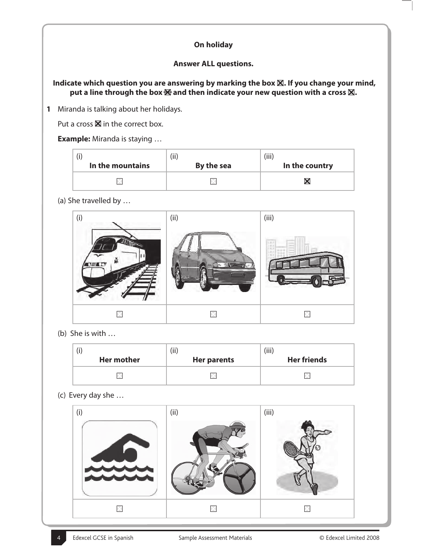# **On holiday**

## **Answer ALL questions.**

Indicate which question you are answering by marking the box  $\boxtimes$ . If you change your mind, put a line through the box  $\boxtimes$  and then indicate your new question with a cross  $\boxtimes$ .

**1** Miranda is talking about her holidays.

Put a cross  $\boxtimes$  in the correct box.

#### **Example:** Miranda is staying …

|                  | (ii)       | (iii)          |
|------------------|------------|----------------|
| In the mountains | By the sea | In the country |
|                  |            |                |

(a) She travelled by …



(b) She is with …

|                   | (iii)              | (iii)              |
|-------------------|--------------------|--------------------|
| <b>Her mother</b> | <b>Her parents</b> | <b>Her friends</b> |
|                   |                    |                    |

(c) Every day she …

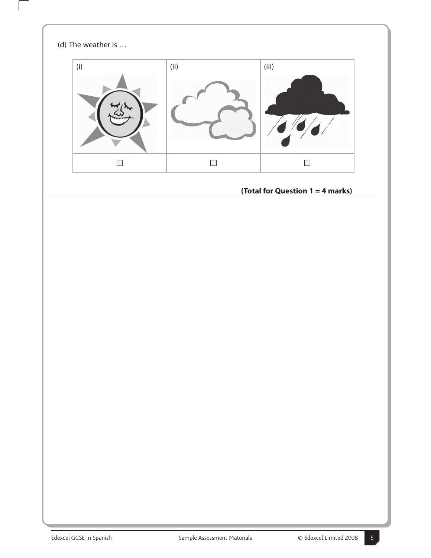

 $\mathbf{I}$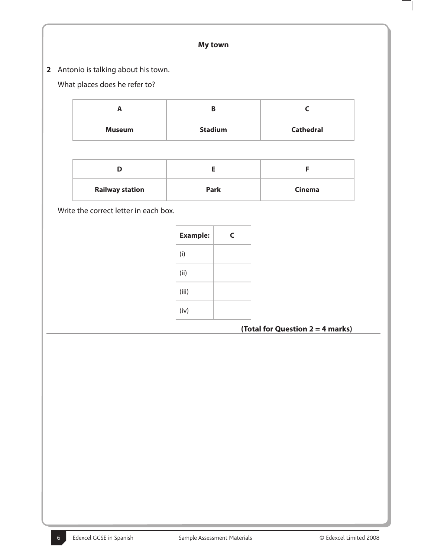## **My town**

**2** Antonio is talking about his town.

# What places does he refer to?

|               | В              |                  |
|---------------|----------------|------------------|
| <b>Museum</b> | <b>Stadium</b> | <b>Cathedral</b> |

| <b>Railway station</b> | Park | <b>Cinema</b> |
|------------------------|------|---------------|

Write the correct letter in each box.

| <b>Example:</b> | C |
|-----------------|---|
| (i)             |   |
| (ii)            |   |
| (iii)           |   |
| (iv)            |   |

**(Total for Question 2 = 4 marks)**

 $\overline{\phantom{a}}$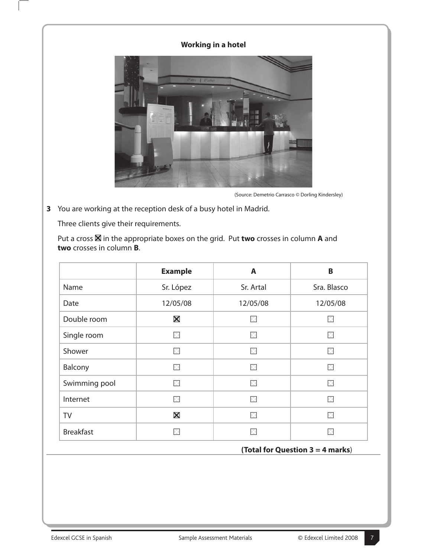# **Working in a hotel**



(Source: Demetrio Carrasco © Dorling Kindersley)

**3** You are working at the reception desk of a busy hotel in Madrid.

Three clients give their requirements.

Put a cross  $\boxtimes$  in the appropriate boxes on the grid. Put **two** crosses in column **A** and **two** crosses in column **B**.

|                  | <b>Example</b> | A         | B           |  |
|------------------|----------------|-----------|-------------|--|
| Name             | Sr. López      | Sr. Artal | Sra. Blasco |  |
| Date             | 12/05/08       | 12/05/08  | 12/05/08    |  |
| Double room      | $\boxtimes$    | M         | X           |  |
| Single room      | $\times$       | M         | M           |  |
| Shower           | X              | X         | ×           |  |
| Balcony          | $\times$       | X         | X           |  |
| Swimming pool    | X              | ×         | X           |  |
| Internet         | $\times$       | ×         | ×           |  |
| <b>TV</b>        | $\boxtimes$    | X         | ⊠           |  |
| <b>Breakfast</b> | $\times$       | ×         | ÞК          |  |

#### **(Total for Question 3 = 4 marks**)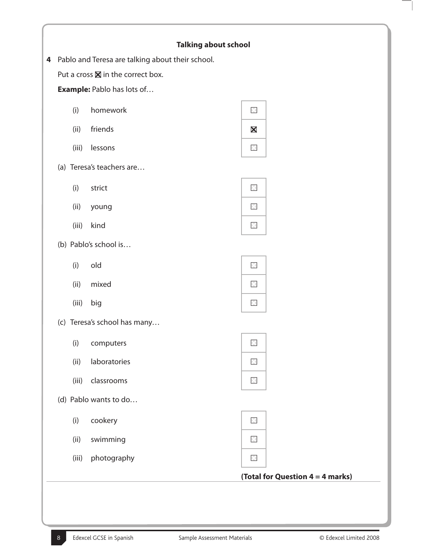|       | Put a cross $\boxtimes$ in the correct box. |                                  |
|-------|---------------------------------------------|----------------------------------|
|       | <b>Example:</b> Pablo has lots of           |                                  |
| (i)   | homework                                    | $\times$                         |
| (ii)  | friends                                     | $\boxtimes$                      |
| (iii) | lessons                                     | $\boxtimes$                      |
|       | (a) Teresa's teachers are                   |                                  |
| (i)   | strict                                      | $\times$                         |
| (ii)  | young                                       | $\boxtimes$                      |
| (iii) | kind                                        | $\mathbb{X}$                     |
|       | (b) Pablo's school is                       |                                  |
| (i)   | old                                         | $\times$                         |
| (ii)  | mixed                                       | $\boxtimes$                      |
| (iii) | big                                         | $\times$                         |
|       | (c) Teresa's school has many                |                                  |
| (i)   | computers                                   | 区                                |
| (ii)  | laboratories                                | $\boxtimes$                      |
| (iii) | classrooms                                  | $\boxtimes$                      |
|       | (d) Pablo wants to do                       |                                  |
| (i)   | cookery                                     | $\times$                         |
| (ii)  | swimming                                    | $\times$                         |
| (iii) | photography                                 | $\times$                         |
|       |                                             | (Total for Question 4 = 4 marks) |

Ξ  $\overline{\phantom{a}}$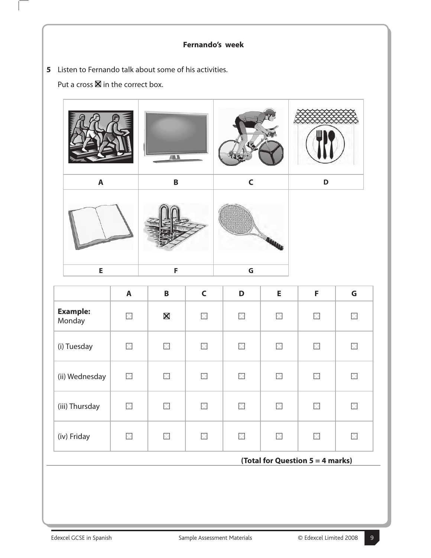# **Fernando's week**

**5** Listen to Fernando talk about some of his activities.

Put a cross  $\boxtimes$  in the correct box.



|                           | $\mathbf{A}$ | $\mathsf B$       | $\mathsf{C}$ | D           | E           | F           | G           |
|---------------------------|--------------|-------------------|--------------|-------------|-------------|-------------|-------------|
| <b>Example:</b><br>Monday | X            | $\bm{\mathsf{X}}$ | X            | $\boxtimes$ | $\times$    | ⊠           | $\boxtimes$ |
| (i) Tuesday               | $\times$     | $\times$          | ×            | $\times$    | $\times$    | ×           | $\times$    |
| (ii) Wednesday            | X            | $\times$          | X            | $\times$    | $\boxtimes$ | 区           | $\times$    |
| (iii) Thursday            | $\boxtimes$  | $\boxtimes$       | X            | $\times$    | $\times$    | ⊠           | $\times$    |
| (iv) Friday               | $\boxtimes$  | $\boxtimes$       | X            | $\boxtimes$ | $\times$    | $\boxtimes$ | $\boxtimes$ |

## **(Total for Question 5 = 4 marks)**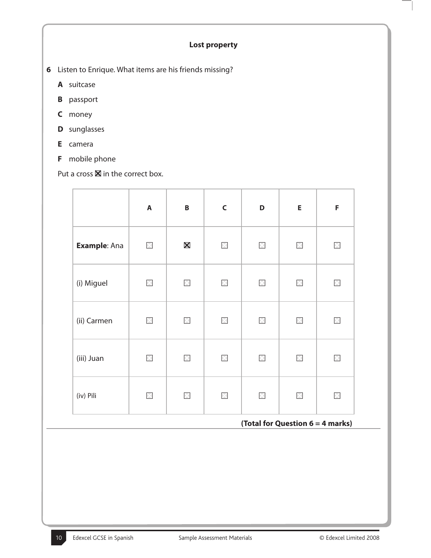### **Lost property**

- **6** Listen to Enrique. What items are his friends missing?
	- **A** suitcase
	- **B** passport
	- **C** money
	- **D** sunglasses
	- **E** camera
	- **F** mobile phone

Put a cross  $\boxtimes$  in the correct box.

|              | $\boldsymbol{\mathsf{A}}$ | $\pmb B$          | $\mathsf C$  | D            | E           | F        |
|--------------|---------------------------|-------------------|--------------|--------------|-------------|----------|
| Example: Ana | $\times$                  | $\bm{\mathsf{X}}$ | $\boxtimes$  | $\mathbb{X}$ | $\boxtimes$ | $\times$ |
| (i) Miguel   | $\times$                  | $\times$          | $\boxtimes$  | $\boxtimes$  | X           | X        |
| (ii) Carmen  | $\boxtimes$               | $\geq$            | $\boxtimes$  | $\times$     | $\times$    | $\times$ |
| (iii) Juan   | $\times$                  | $\geq$            | $\mathbb{X}$ | $\times$     | $\times$    | $\times$ |
| (iv) Pili    | $\times$                  | $\times$          | $\boxtimes$  | $\boxtimes$  | $\times$    | X        |

# **(Total for Question 6 = 4 marks)**

 $\Big\}$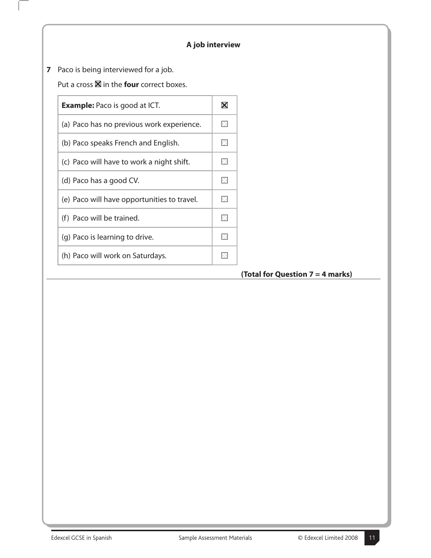# **A job interview**

**7** Paco is being interviewed for a job.

 $\overline{\phantom{a}}$ 

Put a cross  $\boxtimes$  in the **four** correct boxes.

| <b>Example:</b> Paco is good at ICT.        | $\boldsymbol{\mathsf{X}}$ |
|---------------------------------------------|---------------------------|
| (a) Paco has no previous work experience.   | ÞК                        |
| (b) Paco speaks French and English.         | X                         |
| (c) Paco will have to work a night shift.   | $\times$                  |
| (d) Paco has a good CV.                     | $\overline{\times}$       |
| (e) Paco will have opportunities to travel. | ×                         |
| (f) Paco will be trained.                   | ×                         |
| (g) Paco is learning to drive.              | $\times$                  |
| (h) Paco will work on Saturdays.            |                           |
|                                             |                           |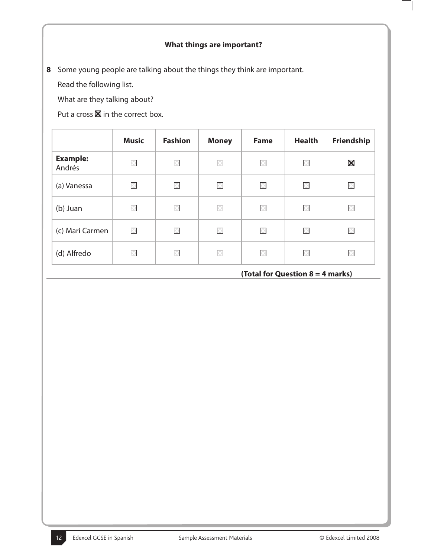# **What things are important?**

**8** Some young people are talking about the things they think are important.

Read the following list.

What are they talking about?

Put a cross  $\blacksquare$  in the correct box.

|                           | <b>Music</b>        | <b>Fashion</b>      | <b>Money</b>        | <b>Fame</b> | <b>Health</b> | Friendship        |
|---------------------------|---------------------|---------------------|---------------------|-------------|---------------|-------------------|
| <b>Example:</b><br>Andrés | 区                   | M                   | ×                   | ×           | $\times$      | $\bm{\mathsf{X}}$ |
| (a) Vanessa               | $\overline{\times}$ | $\overline{\times}$ | $\overline{\times}$ | $\boxtimes$ | $\boxtimes$   | $\times$          |
| (b) Juan                  | X                   | ×                   | X                   | $\times$    | ×             | $\times$          |
| (c) Mari Carmen           | X                   | X                   | $\times$            | $\boxtimes$ | $\times$      | ×                 |
| (d) Alfredo               | $\times$            | X                   | Ι×                  | ×           | $\times$      | ×                 |

#### **(Total for Question 8 = 4 marks)**

 $\overline{\phantom{a}}$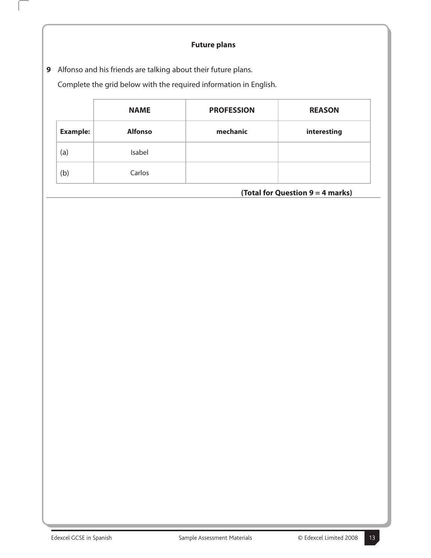# **Future plans**

**9** Alfonso and his friends are talking about their future plans.

 $\overline{\phantom{a}}$ 

Complete the grid below with the required information in English.

|                 | <b>NAME</b>    | <b>PROFESSION</b> | <b>REASON</b> |
|-----------------|----------------|-------------------|---------------|
| <b>Example:</b> | <b>Alfonso</b> | mechanic          | interesting   |
| (a)             | Isabel         |                   |               |
| (b)             | Carlos         |                   |               |

**(Total for Question 9 = 4 marks)**